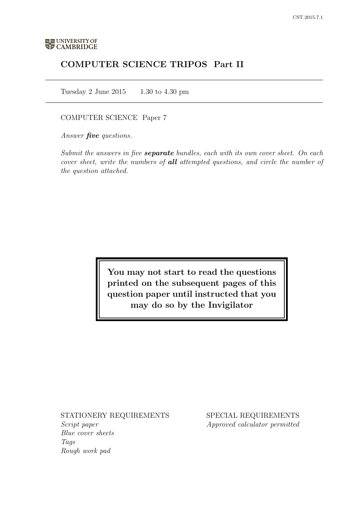# COMPUTER SCIENCE TRIPOS Part II

Tuesday 2 June 2015 1.30 to 4.30 pm

# COMPUTER SCIENCE Paper 7

Answer **five** questions.

Submit the answers in five **separate** bundles, each with its own cover sheet. On each cover sheet, write the numbers of **all** attempted questions, and circle the number of the question attached.

> You may not start to read the questions printed on the subsequent pages of this question paper until instructed that you may do so by the Invigilator

# STATIONERY REQUIREMENTS

Script paper Blue cover sheets Tags Rough work pad

SPECIAL REQUIREMENTS Approved calculator permitted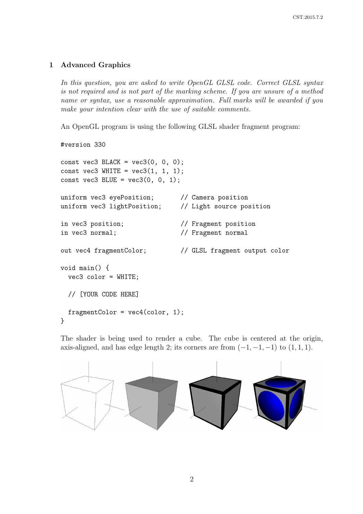# 1 Advanced Graphics

In this question, you are asked to write OpenGL GLSL code. Correct GLSL syntax is not required and is not part of the marking scheme. If you are unsure of a method name or syntax, use a reasonable approximation. Full marks will be awarded if you make your intention clear with the use of suitable comments.

An OpenGL program is using the following GLSL shader fragment program:

```
#version 330
const vec3 BLACK = vec3(0, 0, 0);
const vec3 WHITE = vec3(1, 1, 1);
const vec3 BLUE = vec3(0, 0, 1);
uniform vec3 eyePosition; // Camera position
uniform vec3 lightPosition; // Light source position
in vec3 position; // Fragment position
in vec3 normal; // Fragment normal
out vec4 fragmentColor; // GLSL fragment output color
void main() {
 vec3 color = WHITE;
 // [YOUR CODE HERE]
 fragmentColor = vec4(color, 1);
}
```
The shader is being used to render a cube. The cube is centered at the origin, axis-aligned, and has edge length 2; its corners are from  $(-1, -1, -1)$  to  $(1, 1, 1)$ .

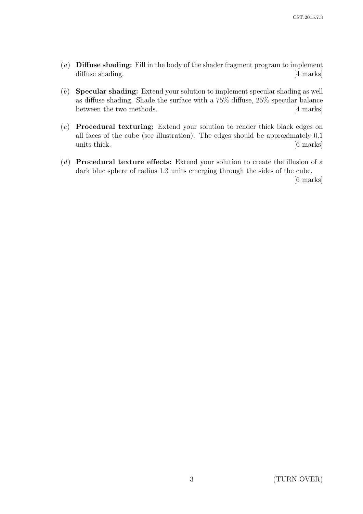- (a) **Diffuse shading:** Fill in the body of the shader fragment program to implement diffuse shading. [4 marks]
- (b) Specular shading: Extend your solution to implement specular shading as well as diffuse shading. Shade the surface with a 75% diffuse, 25% specular balance between the two methods. [4 marks]
- (c) Procedural texturing: Extend your solution to render thick black edges on all faces of the cube (see illustration). The edges should be approximately 0.1 units thick. [6 marks]
- (d) Procedural texture effects: Extend your solution to create the illusion of a dark blue sphere of radius 1.3 units emerging through the sides of the cube.

[6 marks]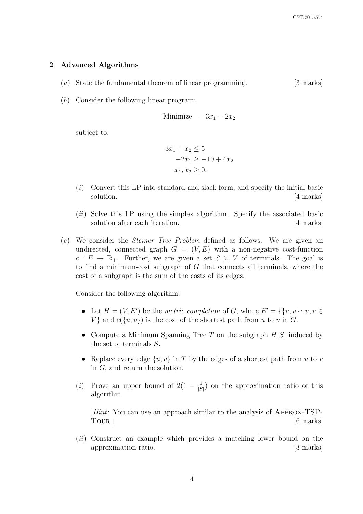### 2 Advanced Algorithms

- (a) State the fundamental theorem of linear programming. [3 marks]
- (b) Consider the following linear program:

$$
Minimize -3x_1 - 2x_2
$$

subject to:

$$
3x_1 + x_2 \le 5
$$
  
-2x<sub>1</sub> \ge -10 + 4x<sub>2</sub>  
x<sub>1</sub>, x<sub>2</sub> \ge 0.

- $(i)$  Convert this LP into standard and slack form, and specify the initial basic solution. [4 marks]
- $(ii)$  Solve this LP using the simplex algorithm. Specify the associated basic solution after each iteration. [4 marks]
- (c) We consider the Steiner Tree Problem defined as follows. We are given an undirected, connected graph  $G = (V, E)$  with a non-negative cost-function  $c: E \to \mathbb{R}_+$ . Further, we are given a set  $S \subseteq V$  of terminals. The goal is to find a minimum-cost subgraph of  $G$  that connects all terminals, where the cost of a subgraph is the sum of the costs of its edges.

Consider the following algorithm:

- Let  $H = (V, E')$  be the metric completion of G, where  $E' = \{ \{u, v\} : u, v \in$  $V$  } and  $c({u, v})$  is the cost of the shortest path from u to v in G.
- Compute a Minimum Spanning Tree T on the subgraph  $H[S]$  induced by the set of terminals S.
- Replace every edge  $\{u, v\}$  in T by the edges of a shortest path from u to v in G, and return the solution.
- (*i*) Prove an upper bound of  $2(1 \frac{1}{5})$  $\frac{1}{|S|}$  on the approximation ratio of this algorithm.

[Hint: You can use an approach similar to the analysis of Approx-TSP-TOUR.] [6 marks]

(ii) Construct an example which provides a matching lower bound on the approximation ratio. [3 marks]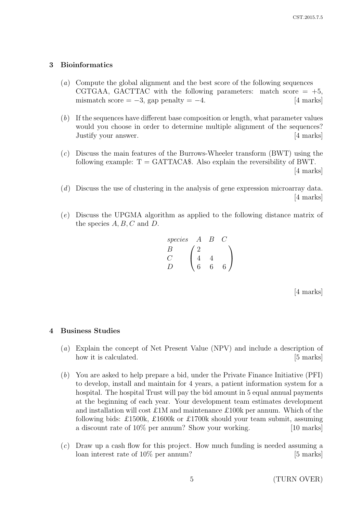### 3 Bioinformatics

- (a) Compute the global alignment and the best score of the following sequences CGTGAA, GACTTAC with the following parameters: match score  $= +5$ , mismatch score =  $-3$ , gap penalty =  $-4$ . [4 marks]
- (b) If the sequences have different base composition or length, what parameter values would you choose in order to determine multiple alignment of the sequences? Justify your answer. [4 marks]
- (c) Discuss the main features of the Burrows-Wheeler transform (BWT) using the following example:  $T = GATTACA\$ . Also explain the reversibility of BWT. [4 marks]
- (d) Discuss the use of clustering in the analysis of gene expression microarray data. [4 marks]
- (e) Discuss the UPGMA algorithm as applied to the following distance matrix of the species  $A, B, C$  and  $D$ .

| species | A                                                            | B | C |
|---------|--------------------------------------------------------------|---|---|
| B       | $\begin{pmatrix} 2 \\ 4 \\ 6 \\ 6 \end{pmatrix}$             |   |   |
| D       | $\begin{pmatrix} 2 \\ 4 & 4 \\ 6 & 6 \\ 6 & 6 \end{pmatrix}$ |   |   |

[4 marks]

### 4 Business Studies

- (a) Explain the concept of Net Present Value (NPV) and include a description of how it is calculated. [5 marks]
- (b) You are asked to help prepare a bid, under the Private Finance Initiative (PFI) to develop, install and maintain for 4 years, a patient information system for a hospital. The hospital Trust will pay the bid amount in 5 equal annual payments at the beginning of each year. Your development team estimates development and installation will cost £1M and maintenance £100k per annum. Which of the following bids: £1500k, £1600k or £1700k should your team submit, assuming a discount rate of  $10\%$  per annum? Show your working. [10 marks]
- (c) Draw up a cash flow for this project. How much funding is needed assuming a loan interest rate of 10% per annum? [5 marks]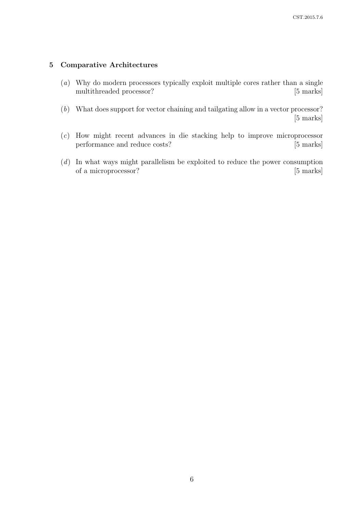# 5 Comparative Architectures

- (a) Why do modern processors typically exploit multiple cores rather than a single multithreaded processor? [5 marks]
- (b) What does support for vector chaining and tailgating allow in a vector processor? [5 marks]
- (c) How might recent advances in die stacking help to improve microprocessor performance and reduce costs? [5 marks]
- (d) In what ways might parallelism be exploited to reduce the power consumption of a microprocessor? [5 marks]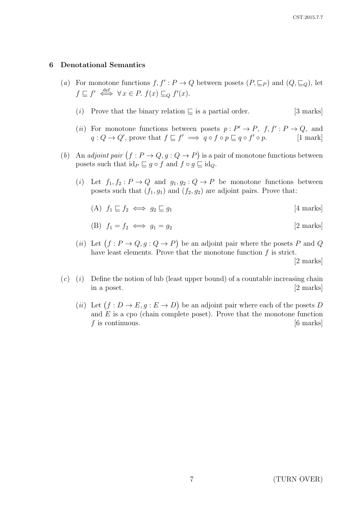#### 6 Denotational Semantics

- (a) For monotone functions  $f, f': P \to Q$  between posets  $(P, \sqsubseteq_P)$  and  $(Q, \sqsubseteq_Q)$ , let  $f \sqsubseteq f' \iff \forall x \in P$ .  $f(x) \sqsubseteq_Q f'(x)$ .
	- (i) Prove that the binary relation  $\Box$  is a partial order. [3 marks]
	- (*ii*) For monotone functions between posets  $p: P' \to P$ ,  $f, f': P \to Q$ , and  $q: Q \to Q'$ , prove that  $f \sqsubseteq f' \implies q \circ f \circ p \sqsubseteq q \circ f' \circ p$ . [1 mark]
- (b) An adjoint pair  $(f : P \to Q, g : Q \to P)$  is a pair of monotone functions between posets such that  $id_P \sqsubseteq g \circ f$  and  $f \circ g \sqsubseteq id_Q$ .
	- (i) Let  $f_1, f_2 : P \to Q$  and  $g_1, g_2 : Q \to P$  be monotone functions between posets such that  $(f_1, g_1)$  and  $(f_2, g_2)$  are adjoint pairs. Prove that:
		- (A)  $f_1 \sqsubset f_2 \iff q_2 \sqsubset q_1$  [4 marks]

(B) 
$$
f_1 = f_2 \iff g_1 = g_2
$$
 [2 marks]

(*ii*) Let  $(f : P \to Q, g : Q \to P)$  be an adjoint pair where the posets P and Q have least elements. Prove that the monotone function  $f$  is strict.

[2 marks]

- $(c)$  (i) Define the notion of lub (least upper bound) of a countable increasing chain in a poset. [2 marks]
	- (*ii*) Let  $(f: D \to E, g: E \to D)$  be an adjoint pair where each of the posets D and  $E$  is a cpo (chain complete poset). Prove that the monotone function  $f$  is continuous. [6 marks]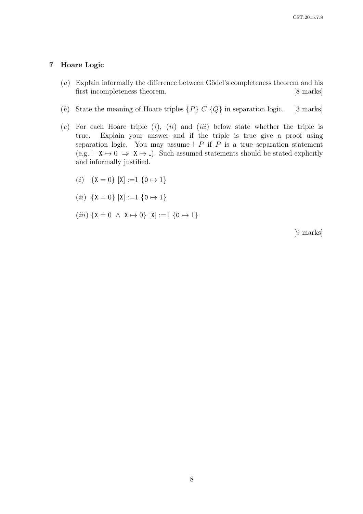# 7 Hoare Logic

- $(a)$  Explain informally the difference between Gödel's completeness theorem and his first incompleteness theorem. [8 marks]
- (b) State the meaning of Hoare triples  $\{P\} \ C \ Q\}$  in separation logic. [3 marks]
- $(c)$  For each Hoare triple  $(i)$ ,  $(ii)$  and  $(iii)$  below state whether the triple is true. Explain your answer and if the triple is true give a proof using separation logic. You may assume  $\vdash P$  if P is a true separation statement  $(e.g. \vdash X \mapsto 0 \Rightarrow X \mapsto -).$  Such assumed statements should be stated explicitly and informally justified.
	- (*i*)  $\{X = 0\}$   $[X] := 1 \{0 \mapsto 1\}$
	- (*ii*)  $\{X = 0\}$  [X] :=1  $\{0 \mapsto 1\}$
	- (iii)  $\{X = 0 \land X \mapsto 0\}$   $[X] := 1 \{0 \mapsto 1\}$

[9 marks]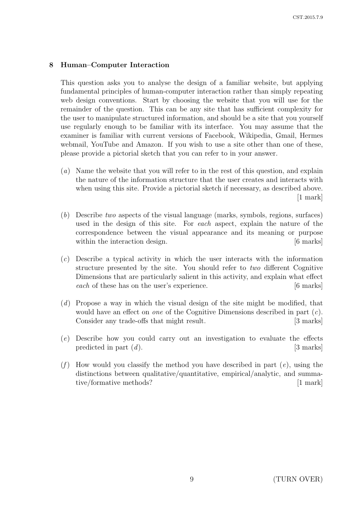# 8 Human–Computer Interaction

This question asks you to analyse the design of a familiar website, but applying fundamental principles of human-computer interaction rather than simply repeating web design conventions. Start by choosing the website that you will use for the remainder of the question. This can be any site that has sufficient complexity for the user to manipulate structured information, and should be a site that you yourself use regularly enough to be familiar with its interface. You may assume that the examiner is familiar with current versions of Facebook, Wikipedia, Gmail, Hermes webmail, YouTube and Amazon. If you wish to use a site other than one of these, please provide a pictorial sketch that you can refer to in your answer.

- (a) Name the website that you will refer to in the rest of this question, and explain the nature of the information structure that the user creates and interacts with when using this site. Provide a pictorial sketch if necessary, as described above. [1 mark]
- (b) Describe two aspects of the visual language (marks, symbols, regions, surfaces) used in the design of this site. For each aspect, explain the nature of the correspondence between the visual appearance and its meaning or purpose within the interaction design. [6 marks]
- (c) Describe a typical activity in which the user interacts with the information structure presented by the site. You should refer to two different Cognitive Dimensions that are particularly salient in this activity, and explain what effect each of these has on the user's experience. [6 marks]
- (d) Propose a way in which the visual design of the site might be modified, that would have an effect on one of the Cognitive Dimensions described in part  $(c)$ . Consider any trade-offs that might result. [3 marks]
- (e) Describe how you could carry out an investigation to evaluate the effects predicted in part  $(d)$ . [3 marks]
- (f) How would you classify the method you have described in part  $(e)$ , using the distinctions between qualitative/quantitative, empirical/analytic, and summative/formative methods? [1 mark]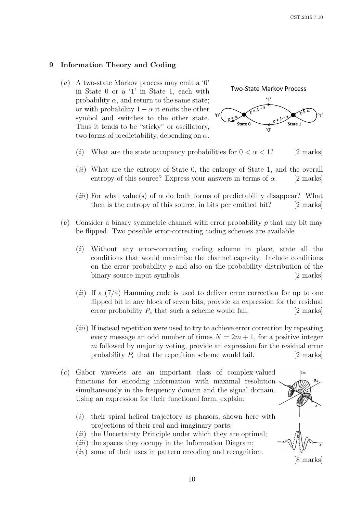# 9 Information Theory and Coding

(a) A two-state Markov process may emit a '0' in State 0 or a '1' in State 1, each with probability  $\alpha$ , and return to the same state; or with probability  $1 - \alpha$  it emits the other symbol and switches to the other state. Thus it tends to be "sticky" or oscillatory, two forms of predictability, depending on  $\alpha$ .



- (i) What are the state occupancy probabilities for  $0 < \alpha < 1$ ? [2 marks]
- $(ii)$  What are the entropy of State 0, the entropy of State 1, and the overall entropy of this source? Express your answers in terms of  $\alpha$ . [2 marks]
- (*iii*) For what value(s) of  $\alpha$  do both forms of predictability disappear? What then is the entropy of this source, in bits per emitted bit? [2 marks]
- $(b)$  Consider a binary symmetric channel with error probability p that any bit may be flipped. Two possible error-correcting coding schemes are available.
	- (i) Without any error-correcting coding scheme in place, state all the conditions that would maximise the channel capacity. Include conditions on the error probability  $p$  and also on the probability distribution of the binary source input symbols. [2 marks]
	- $(ii)$  If a  $(7/4)$  Hamming code is used to deliver error correction for up to one flipped bit in any block of seven bits, provide an expression for the residual error probability  $P_e$  that such a scheme would fail.  $[2 \text{ marks}]$
	- (iii) If instead repetition were used to try to achieve error correction by repeating every message an odd number of times  $N = 2m + 1$ , for a positive integer m followed by majority voting, provide an expression for the residual error probability  $P_e$  that the repetition scheme would fail. [2 marks]
- (c) Gabor wavelets are an important class of complex-valued functions for encoding information with maximal resolution simultaneously in the frequency domain and the signal domain. Using an expression for their functional form, explain:
	- $(i)$  their spiral helical trajectory as phasors, shown here with projections of their real and imaginary parts;
	- $(ii)$  the Uncertainty Principle under which they are optimal;
	- $(iii)$  the spaces they occupy in the Information Diagram;
	- $(iv)$  some of their uses in pattern encoding and recognition.

[8 marks]

l Im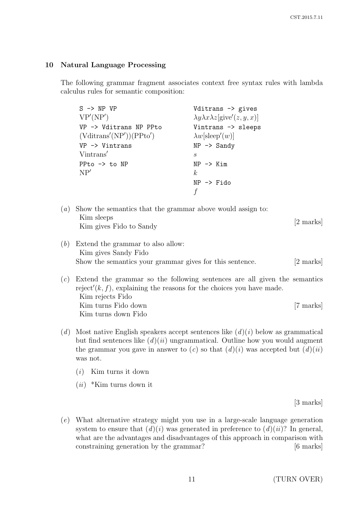#### 10 Natural Language Processing

The following grammar fragment associates context free syntax rules with lambda calculus rules for semantic composition:

| $S \rightarrow NP VP$     | Vditrans -> gives                                                         |
|---------------------------|---------------------------------------------------------------------------|
| VP'(NP')                  | $\lambda y \lambda x \lambda z$ [give'( <i>z</i> , <i>y</i> , <i>x</i> )] |
| VP -> Vditrans NP PPto    | Vintrans -> sleeps                                                        |
| (Vditrans'(NP'))(PPto')   | $\lambda w$ [sleep'(w)]                                                   |
| $VP \rightarrow Vintrans$ | $NP \rightarrow$ Sandy                                                    |
| Vintrans'                 | S,                                                                        |
| PPto $\rightarrow$ to NP  | $NP$ $\rightarrow$ $Kim$                                                  |
| NP'                       | k <sub>i</sub>                                                            |
|                           | $NP \rightarrow$ Fido                                                     |
|                           |                                                                           |

- (a) Show the semantics that the grammar above would assign to: Kim sleeps Kim siceps [2 marks] [2 marks]
- (b) Extend the grammar to also allow: Kim gives Sandy Fido Show the semantics your grammar gives for this sentence. [2 marks]
- (c) Extend the grammar so the following sentences are all given the semantics reject'( $k, f$ ), explaining the reasons for the choices you have made. Kim rejects Fido Kim turns Fido down Kim turns down Fido [7 marks]
- (d) Most native English speakers accept sentences like  $(d)(i)$  below as grammatical but find sentences like  $(d)(ii)$  ungrammatical. Outline how you would augment the grammar you gave in answer to (c) so that  $(d)(i)$  was accepted but  $(d)(ii)$ was not.
	- $(i)$  Kim turns it down
	- $(ii)$  \*Kim turns down it

[3 marks]

(e) What alternative strategy might you use in a large-scale language generation system to ensure that  $(d)(i)$  was generated in preference to  $(d)(ii)$ ? In general, what are the advantages and disadvantages of this approach in comparison with constraining generation by the grammar? [6 marks]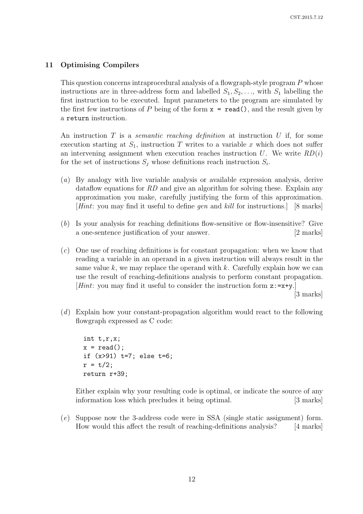# 11 Optimising Compilers

This question concerns intraprocedural analysis of a flowgraph-style program P whose instructions are in three-address form and labelled  $S_1, S_2, \ldots$ , with  $S_1$  labelling the first instruction to be executed. Input parameters to the program are simulated by the first few instructions of P being of the form  $x = \text{read}()$ , and the result given by a return instruction.

An instruction  $T$  is a *semantic reaching definition* at instruction  $U$  if, for some execution starting at  $S_1$ , instruction T writes to a variable x which does not suffer an intervening assignment when execution reaches instruction  $U$ . We write  $RD(i)$ for the set of instructions  $S_j$  whose definitions reach instruction  $S_i$ .

- (a) By analogy with live variable analysis or available expression analysis, derive dataflow equations for RD and give an algorithm for solving these. Explain any approximation you make, carefully justifying the form of this approximation. [Hint: you may find it useful to define gen and kill for instructions.] [8 marks]
- (b) Is your analysis for reaching definitions flow-sensitive or flow-insensitive? Give a one-sentence justification of your answer. [2 marks]
- $(c)$  One use of reaching definitions is for constant propagation: when we know that reading a variable in an operand in a given instruction will always result in the same value k, we may replace the operand with k. Carefully explain how we can use the result of reaching-definitions analysis to perform constant propagation. [Hint: you may find it useful to consider the instruction form  $z:=x+y$ .]

[3 marks]

(d) Explain how your constant-propagation algorithm would react to the following flowgraph expressed as C code:

```
int t,r,x;
x = read();
if (x>91) t=7; else t=6;
r = t/2;
return r+39;
```
Either explain why your resulting code is optimal, or indicate the source of any information loss which precludes it being optimal. [3 marks]

(e) Suppose now the 3-address code were in SSA (single static assignment) form. How would this affect the result of reaching-definitions analysis? [4 marks]